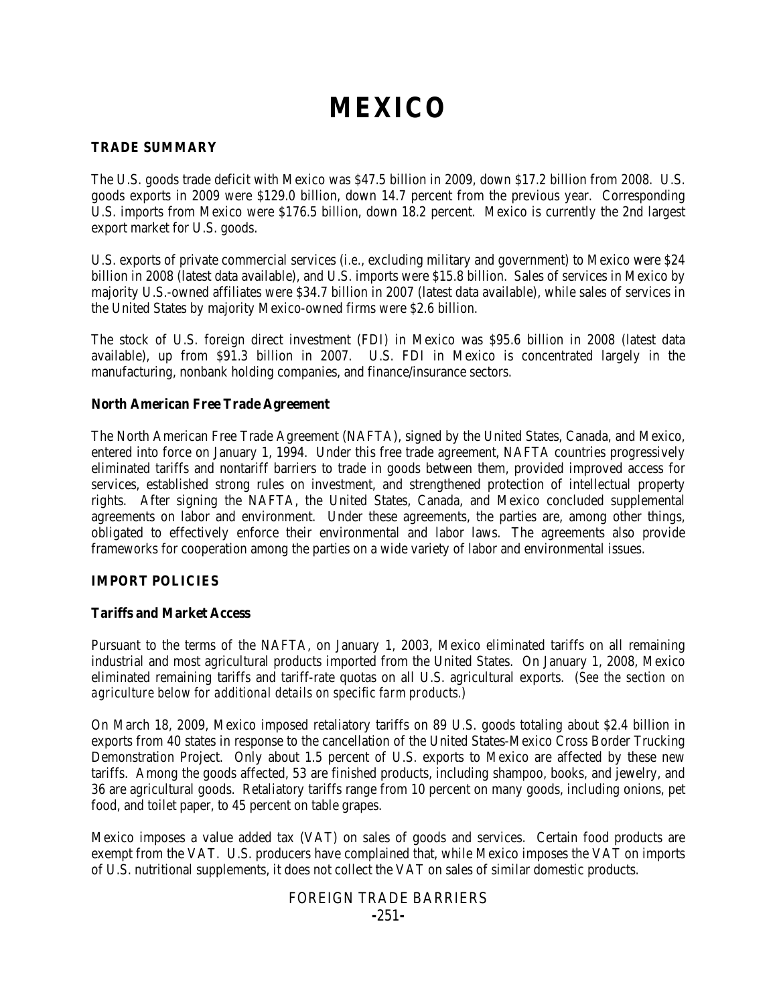# **MEXICO**

# **TRADE SUMMARY**

The U.S. goods trade deficit with Mexico was \$47.5 billion in 2009, down \$17.2 billion from 2008. U.S. goods exports in 2009 were \$129.0 billion, down 14.7 percent from the previous year. Corresponding U.S. imports from Mexico were \$176.5 billion, down 18.2 percent. Mexico is currently the 2nd largest export market for U.S. goods.

U.S. exports of private commercial services (*i.e.*, excluding military and government) to Mexico were \$24 billion in 2008 (latest data available), and U.S. imports were \$15.8 billion. Sales of services in Mexico by majority U.S.-owned affiliates were \$34.7 billion in 2007 (latest data available), while sales of services in the United States by majority Mexico-owned firms were \$2.6 billion.

The stock of U.S. foreign direct investment (FDI) in Mexico was \$95.6 billion in 2008 (latest data available), up from \$91.3 billion in 2007. U.S. FDI in Mexico is concentrated largely in the manufacturing, nonbank holding companies, and finance/insurance sectors.

# **North American Free Trade Agreement**

The North American Free Trade Agreement (NAFTA), signed by the United States, Canada, and Mexico, entered into force on January 1, 1994. Under this free trade agreement, NAFTA countries progressively eliminated tariffs and nontariff barriers to trade in goods between them, provided improved access for services, established strong rules on investment, and strengthened protection of intellectual property rights. After signing the NAFTA, the United States, Canada, and Mexico concluded supplemental agreements on labor and environment. Under these agreements, the parties are, among other things, obligated to effectively enforce their environmental and labor laws. The agreements also provide frameworks for cooperation among the parties on a wide variety of labor and environmental issues.

# **IMPORT POLICIES**

# **Tariffs and Market Access**

Pursuant to the terms of the NAFTA, on January 1, 2003, Mexico eliminated tariffs on all remaining industrial and most agricultural products imported from the United States. On January 1, 2008, Mexico eliminated remaining tariffs and tariff-rate quotas on all U.S. agricultural exports. (*See the section on agriculture below for additional details on specific farm products.*)

On March 18, 2009, Mexico imposed retaliatory tariffs on 89 U.S. goods totaling about \$2.4 billion in exports from 40 states in response to the cancellation of the United States-Mexico Cross Border Trucking Demonstration Project. Only about 1.5 percent of U.S. exports to Mexico are affected by these new tariffs. Among the goods affected, 53 are finished products, including shampoo, books, and jewelry, and 36 are agricultural goods. Retaliatory tariffs range from 10 percent on many goods, including onions, pet food, and toilet paper, to 45 percent on table grapes.

Mexico imposes a value added tax (VAT) on sales of goods and services. Certain food products are exempt from the VAT. U.S. producers have complained that, while Mexico imposes the VAT on imports of U.S. nutritional supplements, it does not collect the VAT on sales of similar domestic products.

# FOREIGN TRADE BARRIERS **-**251**-**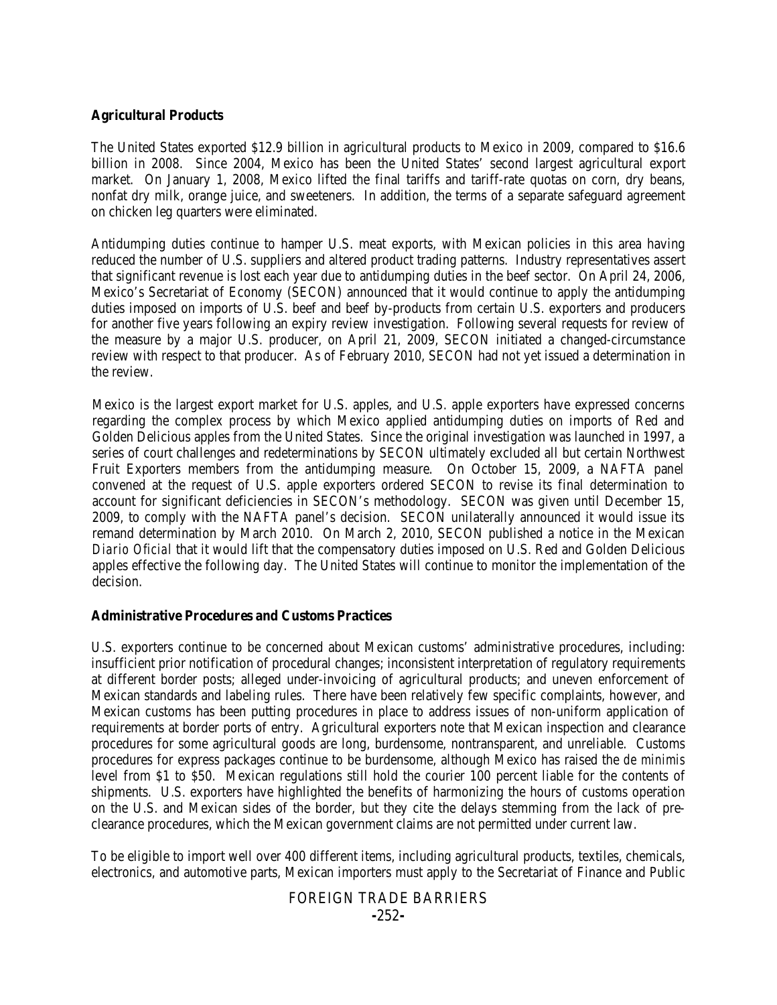## **Agricultural Products**

The United States exported \$12.9 billion in agricultural products to Mexico in 2009, compared to \$16.6 billion in 2008. Since 2004, Mexico has been the United States' second largest agricultural export market. On January 1, 2008, Mexico lifted the final tariffs and tariff-rate quotas on corn, dry beans, nonfat dry milk, orange juice, and sweeteners. In addition, the terms of a separate safeguard agreement on chicken leg quarters were eliminated.

Antidumping duties continue to hamper U.S. meat exports, with Mexican policies in this area having reduced the number of U.S. suppliers and altered product trading patterns. Industry representatives assert that significant revenue is lost each year due to antidumping duties in the beef sector. On April 24, 2006, Mexico's Secretariat of Economy (SECON) announced that it would continue to apply the antidumping duties imposed on imports of U.S. beef and beef by-products from certain U.S. exporters and producers for another five years following an expiry review investigation. Following several requests for review of the measure by a major U.S. producer, on April 21, 2009, SECON initiated a changed-circumstance review with respect to that producer. As of February 2010, SECON had not yet issued a determination in the review.

Mexico is the largest export market for U.S. apples, and U.S. apple exporters have expressed concerns regarding the complex process by which Mexico applied antidumping duties on imports of Red and Golden Delicious apples from the United States. Since the original investigation was launched in 1997, a series of court challenges and redeterminations by SECON ultimately excluded all but certain Northwest Fruit Exporters members from the antidumping measure. On October 15, 2009, a NAFTA panel convened at the request of U.S. apple exporters ordered SECON to revise its final determination to account for significant deficiencies in SECON's methodology. SECON was given until December 15, 2009, to comply with the NAFTA panel's decision. SECON unilaterally announced it would issue its remand determination by March 2010. On March 2, 2010, SECON published a notice in the Mexican *Diario Oficial* that it would lift that the compensatory duties imposed on U.S. Red and Golden Delicious apples effective the following day. The United States will continue to monitor the implementation of the decision.

#### **Administrative Procedures and Customs Practices**

U.S. exporters continue to be concerned about Mexican customs' administrative procedures, including: insufficient prior notification of procedural changes; inconsistent interpretation of regulatory requirements at different border posts; alleged under-invoicing of agricultural products; and uneven enforcement of Mexican standards and labeling rules. There have been relatively few specific complaints, however, and Mexican customs has been putting procedures in place to address issues of non-uniform application of requirements at border ports of entry. Agricultural exporters note that Mexican inspection and clearance procedures for some agricultural goods are long, burdensome, nontransparent, and unreliable. Customs procedures for express packages continue to be burdensome, although Mexico has raised the *de minimis* level from \$1 to \$50. Mexican regulations still hold the courier 100 percent liable for the contents of shipments. U.S. exporters have highlighted the benefits of harmonizing the hours of customs operation on the U.S. and Mexican sides of the border, but they cite the delays stemming from the lack of preclearance procedures, which the Mexican government claims are not permitted under current law.

To be eligible to import well over 400 different items, including agricultural products, textiles, chemicals, electronics, and automotive parts, Mexican importers must apply to the Secretariat of Finance and Public

# FOREIGN TRADE BARRIERS **-**252**-**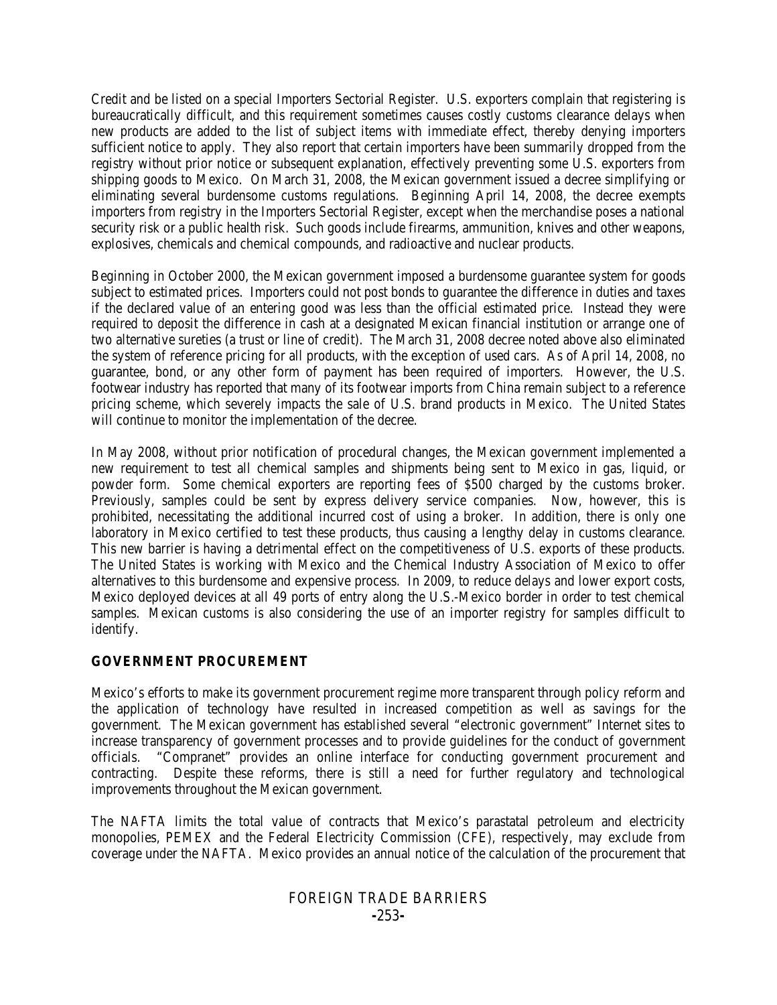Credit and be listed on a special Importers Sectorial Register. U.S. exporters complain that registering is bureaucratically difficult, and this requirement sometimes causes costly customs clearance delays when new products are added to the list of subject items with immediate effect, thereby denying importers sufficient notice to apply. They also report that certain importers have been summarily dropped from the registry without prior notice or subsequent explanation, effectively preventing some U.S. exporters from shipping goods to Mexico. On March 31, 2008, the Mexican government issued a decree simplifying or eliminating several burdensome customs regulations. Beginning April 14, 2008, the decree exempts importers from registry in the Importers Sectorial Register, except when the merchandise poses a national security risk or a public health risk. Such goods include firearms, ammunition, knives and other weapons, explosives, chemicals and chemical compounds, and radioactive and nuclear products.

Beginning in October 2000, the Mexican government imposed a burdensome guarantee system for goods subject to estimated prices. Importers could not post bonds to guarantee the difference in duties and taxes if the declared value of an entering good was less than the official estimated price. Instead they were required to deposit the difference in cash at a designated Mexican financial institution or arrange one of two alternative sureties (a trust or line of credit). The March 31, 2008 decree noted above also eliminated the system of reference pricing for all products, with the exception of used cars. As of April 14, 2008, no guarantee, bond, or any other form of payment has been required of importers. However, the U.S. footwear industry has reported that many of its footwear imports from China remain subject to a reference pricing scheme, which severely impacts the sale of U.S. brand products in Mexico. The United States will continue to monitor the implementation of the decree.

In May 2008, without prior notification of procedural changes, the Mexican government implemented a new requirement to test all chemical samples and shipments being sent to Mexico in gas, liquid, or powder form. Some chemical exporters are reporting fees of \$500 charged by the customs broker. Previously, samples could be sent by express delivery service companies. Now, however, this is prohibited, necessitating the additional incurred cost of using a broker. In addition, there is only one laboratory in Mexico certified to test these products, thus causing a lengthy delay in customs clearance. This new barrier is having a detrimental effect on the competitiveness of U.S. exports of these products. The United States is working with Mexico and the Chemical Industry Association of Mexico to offer alternatives to this burdensome and expensive process. In 2009, to reduce delays and lower export costs, Mexico deployed devices at all 49 ports of entry along the U.S.-Mexico border in order to test chemical samples. Mexican customs is also considering the use of an importer registry for samples difficult to identify.

# **GOVERNMENT PROCUREMENT**

Mexico's efforts to make its government procurement regime more transparent through policy reform and the application of technology have resulted in increased competition as well as savings for the government. The Mexican government has established several "electronic government" Internet sites to increase transparency of government processes and to provide guidelines for the conduct of government officials. "Compranet" provides an online interface for conducting government procurement and contracting. Despite these reforms, there is still a need for further regulatory and technological improvements throughout the Mexican government.

The NAFTA limits the total value of contracts that Mexico's parastatal petroleum and electricity monopolies, PEMEX and the Federal Electricity Commission (CFE), respectively, may exclude from coverage under the NAFTA. Mexico provides an annual notice of the calculation of the procurement that

# FOREIGN TRADE BARRIERS **-**253**-**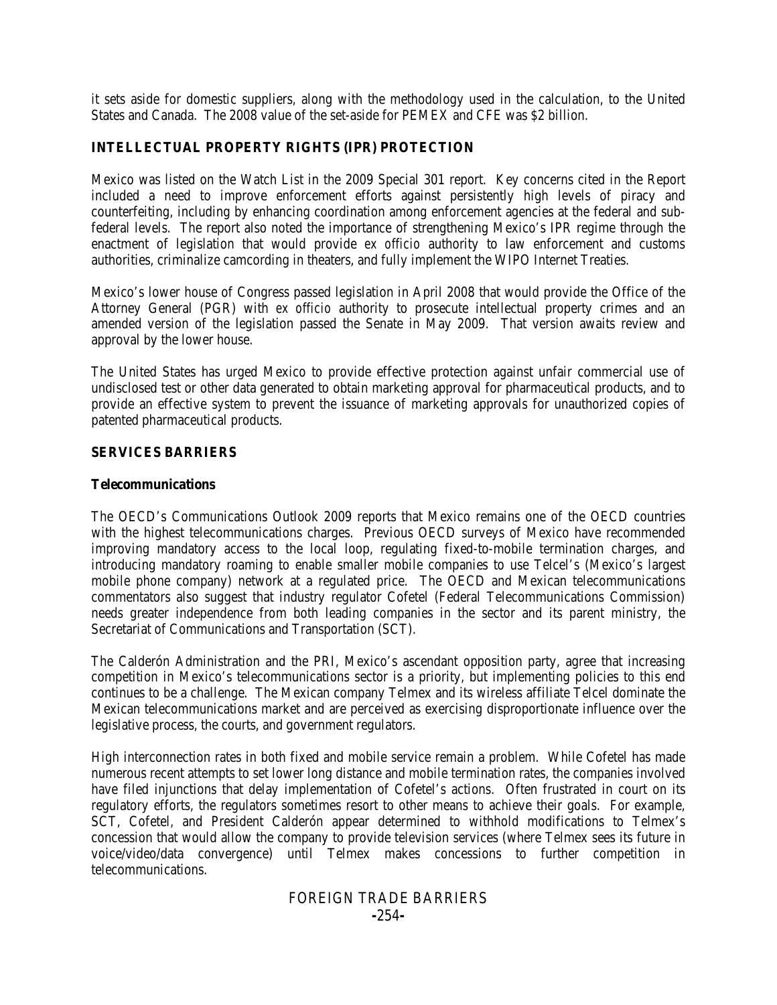it sets aside for domestic suppliers, along with the methodology used in the calculation, to the United States and Canada. The 2008 value of the set-aside for PEMEX and CFE was \$2 billion.

# **INTELLECTUAL PROPERTY RIGHTS (IPR) PROTECTION**

Mexico was listed on the Watch List in the 2009 Special 301 report. Key concerns cited in the Report included a need to improve enforcement efforts against persistently high levels of piracy and counterfeiting, including by enhancing coordination among enforcement agencies at the federal and subfederal levels. The report also noted the importance of strengthening Mexico's IPR regime through the enactment of legislation that would provide *ex officio* authority to law enforcement and customs authorities, criminalize camcording in theaters, and fully implement the WIPO Internet Treaties.

Mexico's lower house of Congress passed legislation in April 2008 that would provide the Office of the Attorney General (PGR) with *ex officio* authority to prosecute intellectual property crimes and an amended version of the legislation passed the Senate in May 2009. That version awaits review and approval by the lower house.

The United States has urged Mexico to provide effective protection against unfair commercial use of undisclosed test or other data generated to obtain marketing approval for pharmaceutical products, and to provide an effective system to prevent the issuance of marketing approvals for unauthorized copies of patented pharmaceutical products.

## **SERVICES BARRIERS**

## **Telecommunications**

The OECD's Communications Outlook 2009 reports that Mexico remains one of the OECD countries with the highest telecommunications charges. Previous OECD surveys of Mexico have recommended improving mandatory access to the local loop, regulating fixed-to-mobile termination charges, and introducing mandatory roaming to enable smaller mobile companies to use Telcel's (Mexico's largest mobile phone company) network at a regulated price. The OECD and Mexican telecommunications commentators also suggest that industry regulator Cofetel (Federal Telecommunications Commission) needs greater independence from both leading companies in the sector and its parent ministry, the Secretariat of Communications and Transportation (SCT).

The Calderón Administration and the PRI, Mexico's ascendant opposition party, agree that increasing competition in Mexico's telecommunications sector is a priority, but implementing policies to this end continues to be a challenge. The Mexican company Telmex and its wireless affiliate Telcel dominate the Mexican telecommunications market and are perceived as exercising disproportionate influence over the legislative process, the courts, and government regulators.

High interconnection rates in both fixed and mobile service remain a problem. While Cofetel has made numerous recent attempts to set lower long distance and mobile termination rates, the companies involved have filed injunctions that delay implementation of Cofetel's actions. Often frustrated in court on its regulatory efforts, the regulators sometimes resort to other means to achieve their goals. For example, SCT, Cofetel, and President Calderón appear determined to withhold modifications to Telmex's concession that would allow the company to provide television services (where Telmex sees its future in voice/video/data convergence) until Telmex makes concessions to further competition in telecommunications.

# FOREIGN TRADE BARRIERS **-**254**-**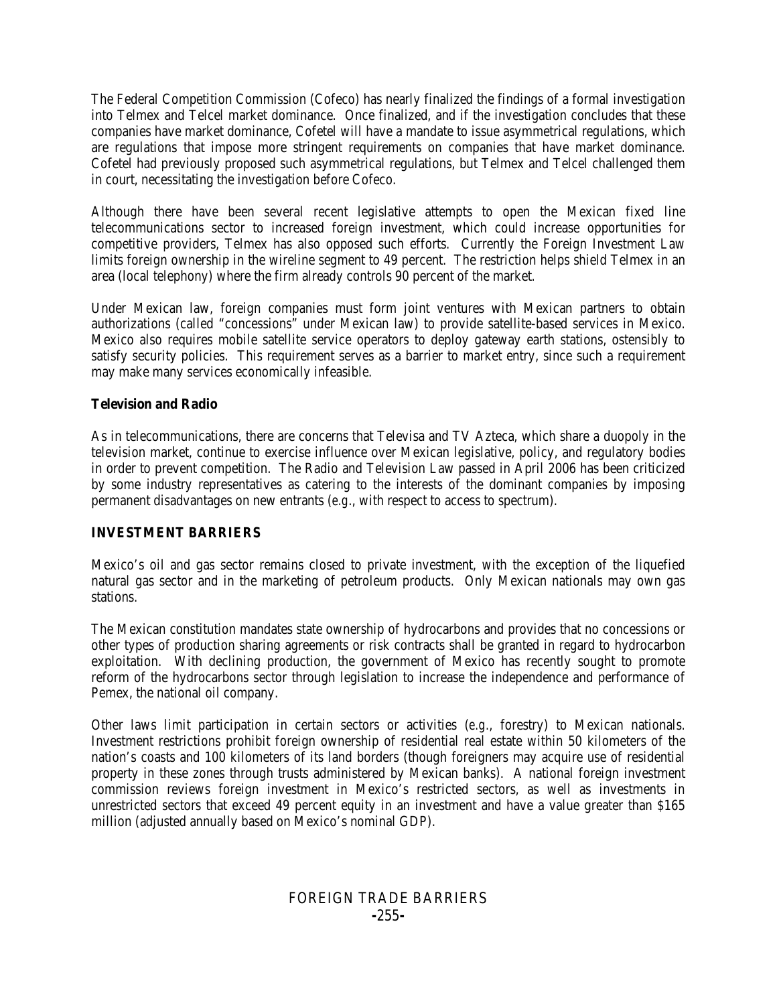The Federal Competition Commission (Cofeco) has nearly finalized the findings of a formal investigation into Telmex and Telcel market dominance. Once finalized, and if the investigation concludes that these companies have market dominance, Cofetel will have a mandate to issue asymmetrical regulations, which are regulations that impose more stringent requirements on companies that have market dominance. Cofetel had previously proposed such asymmetrical regulations, but Telmex and Telcel challenged them in court, necessitating the investigation before Cofeco.

Although there have been several recent legislative attempts to open the Mexican fixed line telecommunications sector to increased foreign investment, which could increase opportunities for competitive providers, Telmex has also opposed such efforts. Currently the Foreign Investment Law limits foreign ownership in the wireline segment to 49 percent. The restriction helps shield Telmex in an area (local telephony) where the firm already controls 90 percent of the market.

Under Mexican law, foreign companies must form joint ventures with Mexican partners to obtain authorizations (called "concessions" under Mexican law) to provide satellite-based services in Mexico. Mexico also requires mobile satellite service operators to deploy gateway earth stations, ostensibly to satisfy security policies. This requirement serves as a barrier to market entry, since such a requirement may make many services economically infeasible.

# **Television and Radio**

As in telecommunications, there are concerns that Televisa and TV Azteca, which share a duopoly in the television market, continue to exercise influence over Mexican legislative, policy, and regulatory bodies in order to prevent competition. The Radio and Television Law passed in April 2006 has been criticized by some industry representatives as catering to the interests of the dominant companies by imposing permanent disadvantages on new entrants (*e.g*., with respect to access to spectrum).

# **INVESTMENT BARRIERS**

Mexico's oil and gas sector remains closed to private investment, with the exception of the liquefied natural gas sector and in the marketing of petroleum products. Only Mexican nationals may own gas stations.

The Mexican constitution mandates state ownership of hydrocarbons and provides that no concessions or other types of production sharing agreements or risk contracts shall be granted in regard to hydrocarbon exploitation. With declining production, the government of Mexico has recently sought to promote reform of the hydrocarbons sector through legislation to increase the independence and performance of Pemex, the national oil company.

Other laws limit participation in certain sectors or activities (*e.g.*, forestry) to Mexican nationals. Investment restrictions prohibit foreign ownership of residential real estate within 50 kilometers of the nation's coasts and 100 kilometers of its land borders (though foreigners may acquire use of residential property in these zones through trusts administered by Mexican banks). A national foreign investment commission reviews foreign investment in Mexico's restricted sectors, as well as investments in unrestricted sectors that exceed 49 percent equity in an investment and have a value greater than \$165 million (adjusted annually based on Mexico's nominal GDP).

# FOREIGN TRADE BARRIERS **-**255**-**